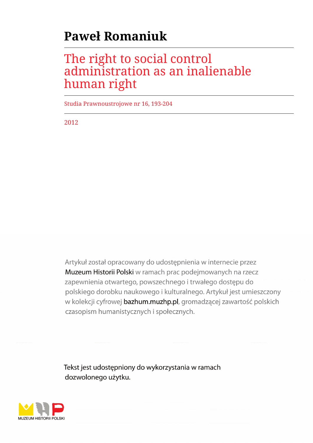# **Paweł Romaniuk**

# The right to social control administration as an inalienable human right

Studia Prawnoustrojowe nr 16, 193-204

2012

Artykuł został opracowany do udostępnienia w internecie przez Muzeum Historii Polski w ramach prac podejmowanych na rzecz zapewnienia otwartego, powszechnego i trwałego dostępu do polskiego dorobku naukowego i kulturalnego. Artykuł jest umieszczony w kolekcji cyfrowej bazhum.muzhp.pl, gromadzącej zawartość polskich czasopism humanistycznych i społecznych.

Tekst jest udostępniony do wykorzystania w ramach dozwolonego użytku.

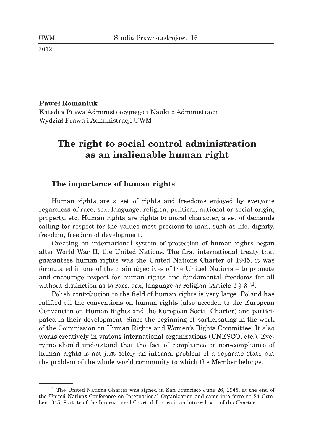#### **Paweł Romaniuk**

Katedra Prawa Administracyjnego i Nauki o Administracji Wydział Prawa i Administracji UWM

# **The right to social control administration as an inalienable human right**

# The importance of human rights

Human rights are a set of rights and freedoms enjoyed by everyone regardless of race, sex, language, religion, political, national or social origin, property, etc. Human rights are rights to moral character, a set of demands calling for respect for the values most precious to man, such as life, dignity, freedom, freedom of development.

Creating an international system of protection of human rights began after World War II, the United Nations. The first international treaty that guarantees human rights was the United Nations Charter of 1945, it was formulated in one of the main objectives of the United Nations – to promote and encourage respect for human rights and fundamental freedoms for all without distinction as to race, sex, language or religion (Article 1  $\S 3$ )<sup>1</sup>.

Polish contribution to the field of human rights is very large. Poland has ratified all the conventions on human rights (also acceded to the European Convention on Human Rights and the European Social Charter) and participated in their development. Since the beginning of participating in the work of the Commission on Human Rights and Women's Rights Committee. It also works creatively in various international organizations (UNESCO, etc.). Everyone should understand that the fact of compliance or non-compliance of human rights is not just solely an internal problem of a separate state but the problem of the whole world community to which the Member belongs.

<sup>&</sup>lt;sup>1</sup> The United Nations Charter was signed in San Francisco June 26, 1945, at the end of the United Nations Conference on International Organization and came into force on 24 October 1945. Statute of the International Court of Justice is an integral part of the Charter.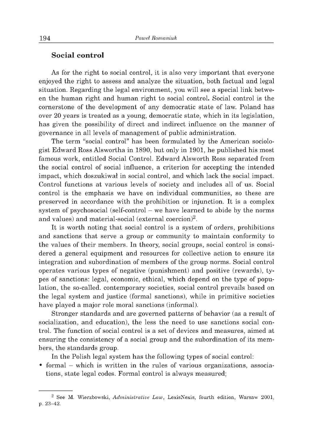#### **S ocial control**

As for the right to social control, it is also very important that everyone enjoyed the right to assess and analyze the situation, both factual and legal situation. Regarding the legal environment, you will see a special link between the human right and human right to social control. Social control is the cornerstone of the development of any democratic state of law. Poland has over 20 years is treated as a young, democratic state, which in its legislation, has given the possibility of direct and indirect influence on the manner of governance in all levels of management of public administration.

The term "social control" has been formulated by the American sociologist Edward Ross Alswortha in 1890, but only in 1901, he published his most famous work, entitled Social Control. Edward Alsworth Ross separated from the social control of social influence, a criterion for accepting the intended impact, which doszukiwał in social control, and which lack the social impact. Control functions at various levels of society and includes all of us. Social control is the emphasis we have on individual communities, so these are preserved in accordance with the prohibition or injunction. It is a complex system of psychosocial (self-control  $-$  we have learned to abide by the norms and values) and material-social (external coercion)2.

It is worth noting that social control is a system of orders, prohibitions and sanctions that serve a group or community to maintain conformity to the values of their members. In theory, social groups, social control is considered a general equipment and resources for collective action to ensure its integration and subordination of members of the group norms. Social control operates various types of negative (punishm ent) and positive (rewards), types of sanctions: legal, economic, ethical, which depend on the type of population, the so-called. contemporary societies, social control prevails based on the legal system and justice (formal sanctions), while in primitive societies have played a major role moral sanctions (informal).

Stronger standards and are governed patterns of behavior (as a result of socialization, and education), the less the need to use sanctions social control. The function of social control is a set of devices and measures, aimed at ensuring the consistency of a social group and the subordination of its members, the standards group.

In the Polish legal system has the following types of social control:

• formal – which is written in the rules of various organizations, associations, state legal codes. Formal control is always measured;

<sup>&</sup>lt;sup>2</sup> See M. Wierzbowski, *Administrative Law*, LexisNexis, fourth edition, Warsaw 2001, p. 23-42.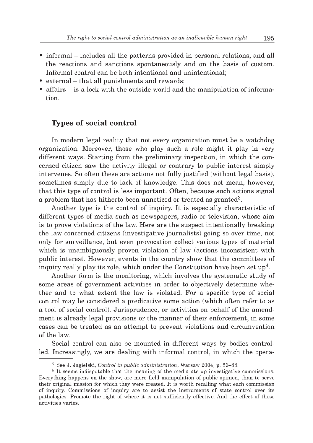- informal includes all the patterns provided in personal relations, and all the reactions and sanctions spontaneously and on the basis of custom. Informal control can be both intentional and unintentional;
- $\bullet$  external that all punishments and rewards;
- affairs  $-$  is a lock with the outside world and the manipulation of information.

# **Types of social control**

In modern legal reality that not every organization must be a watchdog organization. Moreover, those who play such a role might it play in very different ways. Starting from the preliminary inspection, in which the concerned citizen saw the activity illegal or contrary to public interest simply intervenes. So often these are actions not fully justified (without legal basis), sometimes simply due to lack of knowledge. This does not mean, however, that this type of control is less important. Often, because such actions signal a problem that has hitherto been unnoticed or treated as granted<sup>3</sup>.

Another type is the control of inquiry. It is especially characteristic of different types of media such as newspapers, radio or television, whose aim is to prove violations of the law. Here are the suspect intentionally breaking the law concerned citizens (investigative journalists) going so over time, not only for surveillance, but even provocation collect various types of material which is unambiguously proven violation of law (actions inconsistent with public interest. However, events in the country show that the committees of inquiry really play its role, which under the Constitution have been set  $up<sup>4</sup>$ .

Another form is the monitoring, which involves the systematic study of some areas of government activities in order to objectively determine whether and to what extent the law is violated. For a specific type of social control may be considered a predicative some action (which often refer to as a tool of social control). Jurisprudence, or activities on behalf of the amendment is already legal provisions or the manner of their enforcement, in some cases can be treated as an attempt to prevent violations and circumvention of the law.

Social control can also be mounted in different ways by bodies controlled. Increasingly, we are dealing with informal control, in which the opera-

<sup>&</sup>lt;sup>3</sup> See J. Jagielski, *Control in public administration*, Warsaw 2004, p. 56–88.

 $<sup>4</sup>$  It seems indisputable that the meaning of the media ate up investigative commissions.</sup> Everything happens on the show, are more field manipulation of public opinion, than to serve their original mission for which they were created. It is worth recalling what each commission of inquiry. Commissions of inquiry are to assist the instruments of state control over its pathologies. Promote the right of where it is not sufficiently effective. And the effect of these activities varies.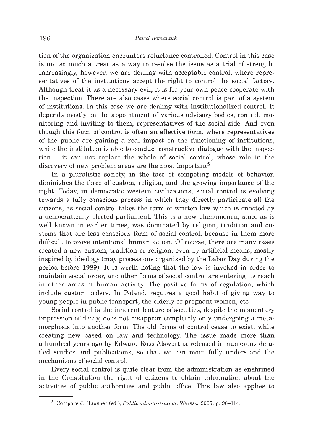tion of the organization encounters reluctance controlled. Control in this case is not so much a treat as a way to resolve the issue as a trial of strength. Increasingly, however, we are dealing with acceptable control, where representatives of the institutions accept the right to control the social factors. Although treat it as a necessary evil, it is for your own peace cooperate with the inspection. There are also cases where social control is part of a system of institutions. In this case we are dealing with institutionalized control. It depends mostly on the appointment of various advisory bodies, control, monitoring and inviting to them, representatives of the social side. And even though this form of control is often an effective form, where representatives of the public are gaining a real impact on the functioning of institutions, while the institution is able to conduct constructive dialogue with the inspection - it can not replace the whole of social control, whose role in the discovery of new problem areas are the most important<sup>5</sup>.

In a pluralistic society, in the face of competing models of behavior, diminishes the force of custom, religion, and the growing importance of the right. Today, in democratic western civilizations, social control is evolving towards a fully conscious process in which they directly participate all the citizens, as social control takes the form of w ritten law which is enacted by a democratically elected parliament. This is a new phenomenon, since as is well known in earlier times, was dominated by religion, tradition and customs that are less conscious form of social control, because in them more difficult to prove intentional human action. Of course, there are many cases created a new custom, tradition or religion, even by artificial means, mostly inspired by ideology (may processions organized by the Labor Day during the period before 1989). It is worth noting that the law is invoked in order to maintain social order, and other forms of social control are entering its reach in other areas of human activity. The positive forms of regulation, which include custom orders. In Poland, requires a good habit of giving way to young people in public transport, the elderly or pregnant women, etc.

Social control is the inherent feature of societies, despite the momentary impression of decay, does not disappear completely only undergoing a metamorphosis into another form. The old forms of control cease to exist, while creating new based on law and technology. The issue made more than a hundred years ago by Edward Ross Alswortha released in numerous detailed studies and publications, so that we can more fully understand the mechanisms of social control.

Every social control is quite clear from the administration as enshrined in the Constitution the right of citizens to obtain information about the activities of public authorities and public office. This law also applies to

<sup>&</sup>lt;sup>5</sup> Compare J. Hausner (ed.), *Public administration*, Warsaw 2005, p. 96-114.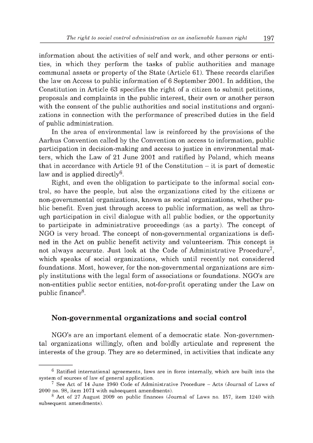information about the activities of self and work, and other persons or entities, in which they perform the tasks of public authorities and manage communal assets or property of the State (Article 61). These records clarifies the law on Access to public information of 6 September 2001. In addition, the Constitution in Article 63 specifies the right of a citizen to submit petitions, proposals and complaints in the public interest, their own or another person with the consent of the public authorities and social institutions and organizations in connection with the performance of prescribed duties in the field of public administration.

In the area of environmental law is reinforced by the provisions of the Aarhus Convention called by the Convention on access to information, public participation in decision-making and access to justice in environmental matters, which the Law of 21 June 2001 and ratified by Poland, which means that in accordance with Article 91 of the Constitution  $-$  it is part of domestic law and is applied directly<sup>6</sup>.

Right, and even the obligation to participate to the informal social control, so have the people, but also the organizations cited by the citizens or non-governmental organizations, known as social organizations, whether public benefit. Even just through access to public information, as well as through participation in civil dialogue with all public bodies, or the opportunity to participate in administrative proceedings (as a party). The concept of NGO is very broad. The concept of non-governmental organizations is defined in the Act on public benefit activity and volunteerism. This concept is not always accurate. Just look at the Code of Administrative Procedure<sup>7</sup>, which speaks of social organizations, which until recently not considered foundations. Most, however, for the non-governmental organizations are sim ply institutions with the legal form of associations or foundations. NGO's are non-entities public sector entities, not-for-profit operating under the Law on public finance8.

# Non-governmental organizations and social control

NGO's are an important element of a democratic state. Non-governmental organizations willingly, often and boldly articulate and represent the interests of the group. They are so determined, in activities that indicate any

 $6$  Ratified international agreements, laws are in force internally, which are built into the system of sources of law of general application.

 $7$  See Act of 14 June 1960 Code of Administrative Procedure - Acts (Journal of Laws of 2000 no. 98, item 1071 with subsequent amendments).

 $8$  Act of 27 August 2009 on public finances (Journal of Laws no. 157, item 1240 with subsequent amendments).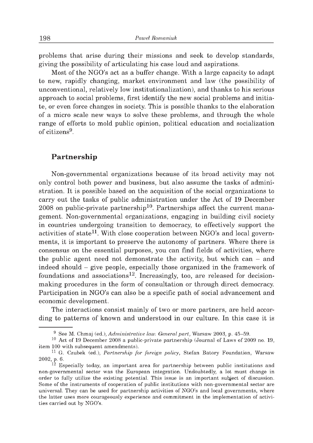problems that arise during their missions and seek to develop standards, giving the possibility of articulating his case loud and aspirations.

Most of the NGO's act as a buffer change. With a large capacity to adapt to new, rapidly changing, market environment and law (the possibility of unconventional, relatively low institutionalization), and thanks to his serious approach to social problems, first identify the new social problems and initiate, or even force changes in society. This is possible thanks to the elaboration of a micro scale new ways to solve these problems, and through the whole range of efforts to mold public opinion, political education and socialization of citizens9 .

## **Partnership**

Non-governmental organizations because of its broad activity may not only control both power and business, but also assume the tasks of administration. It is possible based on the acquisition of the social organizations to carry out the tasks of public administration under the Act of 19 December 2008 on public-private partnership<sup>10</sup>. Partnerships affect the current management. Non-governmental organizations, engaging in building civil society in countries undergoing transition to democracy, to effectively support the activities of state<sup>11</sup>. With close cooperation between NGO's and local governments, it is important to preserve the autonomy of partners. Where there is consensus on the essential purposes, you can find fields of activities, where the public agent need not demonstrate the activity, but which can  $-$  and indeed should - give people, especially those organized in the framework of foundations and associations<sup>12</sup>. Increasingly, too, are released for decisionmaking procedures in the form of consultation or through direct democracy. Participation in NGO's can also be a specific path of social advancement and economic development.

The interactions consist mainly of two or more partners, are held according to patterns of known and understood in our culture. In this case it is

<sup>&</sup>lt;sup>9</sup> See M. Chmaj (ed.), *Administrative law. General part*, Warsaw 2003, p. 45–59.

 $10$  Act of 19 December 2008 a public-private partnership (Journal of Laws of 2009 no. 19, item 100 with subsequent amendments).

<sup>&</sup>lt;sup>11</sup> G. Czubek (ed.), *Partnership for foreign policy*, Stefan Batory Foundation, Warsaw 2002, p. 6.

 $12$  Especially today, an important area for partnership between public institutions and non-governmental sector was the European integration. Undoubtedly, a lot must change in order to fully utilize the existing potential. This issue is an important subject of discussion. Some of the instruments of cooperation of public institutions with non-governmental sector are universal. They can be used for partnership activities of NGO's and local governments, where the latter uses more courageously experience and commitment in the implementation of activities carried out by NGO's.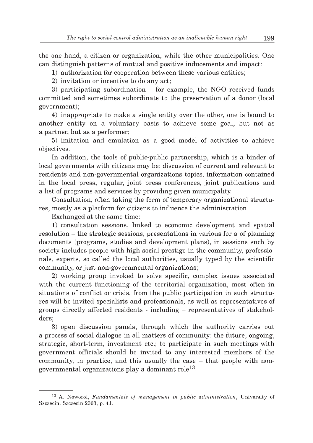the one hand, a citizen or organization, while the other municipalities. One can distinguish patterns of mutual and positive inducements and impact:

1) authorization for cooperation between these various entities;

2) invitation or incentive to do any act;

3) participating subordination  $-$  for example, the NGO received funds committed and sometimes subordinate to the preservation of a donor (local government);

4) inappropriate to make a single entity over the other, one is bound to another entity on a voluntary basis to achieve some goal, but not as a partner, but as a performer;

5) im itation and em ulation as a good model of activities to achieve objectives.

In addition, the tools of public-public partnership, which is a binder of local governments with citizens may be: discussion of current and relevant to residents and non-governmental organizations topics, information contained in the local press, regular, joint press conferences, joint publications and a list of programs and services by providing given municipality.

Consultation, often taking the form of temporary organizational structures, mostly as a platform for citizens to influence the administration.

Exchanged at the same time:

1) consultation sessions, linked to economic development and spatial resolution  $-$  the strategic sessions, presentations in various for a of planning documents (programs, studies and development plans), in sessions such by society includes people with high social prestige in the community, professionals, experts, so called the local authorities, usually typed by the scientific community, or just non-governmental organizations;

2) working group invoked to solve specific, complex issues associated with the current functioning of the territorial organization, most often in situations of conflict or crisis, from the public participation in such structures will be invited specialists and professionals, as well as representatives of groups directly affected residents - including - representatives of stakeholders;

3) open discussion panels, through which the authority carries out a process of social dialogue in all matters of community: the future, ongoing, strategic, short-term, investment etc.; to participate in such meetings with government officials should be invited to any interested members of the community, in practice, and this usually the case  $-$  that people with nongovernmental organizations play a dominant role<sup>13</sup>.

<sup>&</sup>lt;sup>13</sup> A. Noworol, *Fundamentals of management in public administration*, University of Szczecin, Szczecin 2003, p. 41.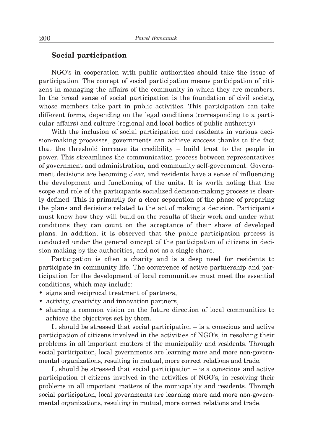### **Social participation**

NGO's in cooperation with public authorities should take the issue of participation. The concept of social participation means participation of citizens in managing the affairs of the community in which they are members. In the broad sense of social participation is the foundation of civil society, whose members take part in public activities. This participation can take different forms, depending on the legal conditions (corresponding to a particular affairs) and culture (regional and local bodies of public authority).

With the inclusion of social participation and residents in various decision-making processes, governments can achieve success thanks to the fact that the threshold increase its credibility  $-$  build trust to the people in power. This stream lines the communication process between representatives of government and administration, and community self-government. Government decisions are becoming clear, and residents have a sense of influencing the development and functioning of the units. It is worth noting that the scope and role of the participants socialized decision-making process is clearly defined. This is prim arily for a clear separation of the phase of preparing the plans and decisions related to the act of m aking a decision. Participants must know how they will build on the results of their work and under what conditions they can count on the acceptance of their share of developed plans. In addition, it is observed that the public participation process is conducted under the general concept of the participation of citizens in decision-making by the authorities, and not as a single share.

Participation is often a charity and is a deep need for residents to participate in community life. The occurrence of active partnership and participation for the development of local communities must meet the essential conditions, which may include:

- signs and reciprocal treatment of partners,
- activity, creativity and innovation partners,
- sharing a common vision on the future direction of local communities to achieve the objectives set by them.

It should be stressed that social participation  $-$  is a conscious and active participation of citizens involved in the activities of NGO's, in resolving their problems in all important matters of the municipality and residents. Through social participation, local governments are learning more and more non-governmental organizations, resulting in mutual, more correct relations and trade.

It should be stressed that social participation  $-$  is a conscious and active participation of citizens involved in the activities of NGO's, in resolving their problems in all important matters of the municipality and residents. Through social participation, local governments are learning more and more non-governmental organizations, resulting in mutual, more correct relations and trade.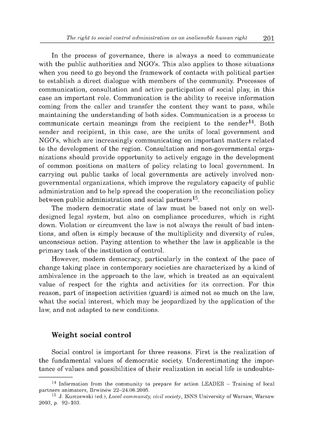In the process of governance, there is always a need to communicate with the public authorities and NGO's. This also applies to those situations when you need to go beyond the framework of contacts with political parties to establish a direct dialogue with members of the community. Processes of communication, consultation and active participation of social play, in this case an im portant role. Communication is the ability to receive information coming from the caller and transfer the content they want to pass, while maintaining the understanding of both sides. Communication is a process to communicate certain meanings from the recipient to the sender $^{14}$ . Both sender and recipient, in this case, are the units of local government and NGO's, which are increasingly communicating on important matters related to the development of the region. Consultation and non-governmental organizations should provide opportunity to actively engage in the development of common positions on matters of policy relating to local government. In carrying out public tasks of local governments are actively involved nongovernmental organizations, which improve the regulatory capacity of public administration and to help spread the cooperation in the reconciliation policy between public administration and social partners<sup>15</sup>.

The modern democratic state of law must be based not only on welldesigned legal system, but also on compliance procedures, which is right down. Violation or circumvent the law is not always the result of bad intentions, and often is simply because of the multiplicity and diversity of rules, unconscious action. Paying attention to whether the law is applicable is the prim ary task of the institution of control.

However, modern democracy, particularly in the context of the pace of change taking place in contemporary societies are characterized by a kind of ambivalence in the approach to the law, which is treated as an equivalent value of respect for the rights and activities for its correction. For this reason, part of inspection activities (guard) is aimed not so much on the law, what the social interest, which may be jeopardized by the application of the law, and not adapted to new conditions.

### **W eight social control**

Social control is important for three reasons. First is the realization of the fundamental values of democratic society. Underestimating the importance of values and possibilities of their realization in social life is undoubte-

<sup>&</sup>lt;sup>14</sup> Information from the community to prepare for action LEADER – Training of local partners animators, Brwinów 22-24.06.2005.

<sup>&</sup>lt;sup>15</sup> J. Kurczewski (ed.), *Local community, civil society*, ISNS University of Warsaw, Warsaw 2003, p. 92-103.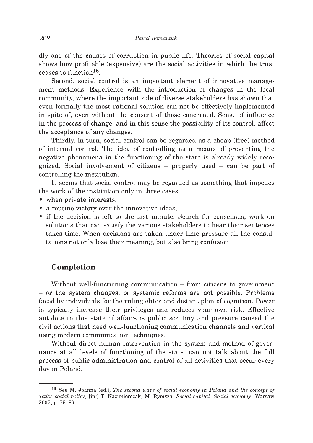dly one of the causes of corruption in public life. Theories of social capital shows how profitable (expensive) are the social activities in which the trust ceases to function  $16$ .

Second, social control is an important element of innovative management methods. Experience with the introduction of changes in the local community, where the important role of diverse stakeholders has shown that even formally the most rational solution can not be effectively implemented in spite of, even without the consent of those concerned. Sense of influence in the process of change, and in this sense the possibility of its control, affect the acceptance of any changes.

Thirdly, in turn, social control can be regarded as a cheap (free) method of internal control. The idea of controlling as a means of preventing the negative phenomena in the functioning of the state is already widely recognized. Social involvement of citizens  $-$  properly used  $-$  can be part of controlling the institution.

It seems that social control may be regarded as something that impedes the work of the institution only in three cases:

- when private interests.
- a routine victory over the innovative ideas,
- if the decision is left to the last minute. Search for consensus, work on solutions that can satisfy the various stakeholders to hear their sentences takes time. W hen decisions are taken under time pressure all the consultations not only lose their meaning, but also bring confusion.

## **C om pletion**

Without well-functioning communication  $-$  from citizens to government - or the system changes, or systemic reforms are not possible. Problems faced by individuals for the ruling elites and distant plan of cognition. Power is typically increase their privileges and reduces your own risk. Effective antidote to this state of affairs is public scrutiny and pressure caused the civil actions that need well-functioning communication channels and vertical using modern communication techniques.

Without direct human intervention in the system and method of governance at all levels of functioning of the state, can not talk about the full process of public administration and control of all activities that occur every day in Poland.

<sup>&</sup>lt;sup>16</sup> See M. Joanna (ed.), *The second wave of social economy in Poland and the concept of active social policy,* [in:] T. Kazimierczak, M. Rymsza, *Social capital. Social economy*, Warsaw 2007, p. 75-89.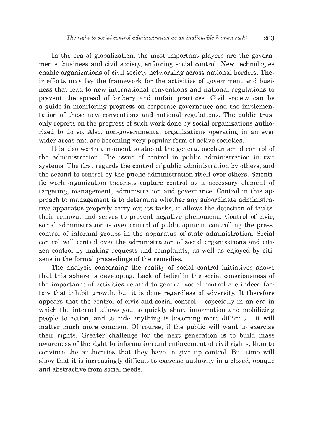In the era of globalization, the most important players are the governments, business and civil society, enforcing social control. New technologies enable organizations of civil society networking across national borders. Their efforts may lay the framework for the activities of government and business that lead to new international conventions and national regulations to prevent the spread of bribery and unfair practices. Civil society can be a guide in monitoring progress on corporate governance and the implementation of these new conventions and national regulations. The public trust only reports on the progress of such work done by social organizations authorized to do so. Also, non-governmental organizations operating in an ever wider areas and are becoming very popular form of active societies.

It is also worth a moment to stop at the general mechanism of control of the administration. The issue of control in public administration in two systems. The first regards the control of public administration by others, and the second to control by the public administration itself over others. Scientific work organization theorists capture control as a necessary element of targeting, management, administration and governance. Control in this approach to management is to determine whether any subordinate administrative apparatus properly carry out its tasks, it allows the detection of faults, their removal and serves to prevent negative phenomena. Control of civic, social administration is over control of public opinion, controlling the press, control of informal groups in the apparatus of state administration. Social control will control over the administration of social organizations and citizen control by m aking requests and complaints, as well as enjoyed by citizens in the formal proceedings of the remedies.

The analysis concerning the reality of social control initiatives shows that this sphere is developing. Lack of belief in the social consciousness of the importance of activities related to general social control are indeed factors that inhibit growth, but it is done regardless of adversity. It therefore appears that the control of civic and social control  $-$  especially in an era in which the internet allows you to quickly share information and mobilizing people to action, and to hide anything is becoming more difficult  $-$  it will matter much more common. Of course, if the public will want to exercise their rights. Greater challenge for the next generation is to build mass awareness of the right to information and enforcement of civil rights, than to convince the authorities that they have to give up control. But time will show that it is increasingly difficult to exercise authority in a closed, opaque and abstractive from social needs.